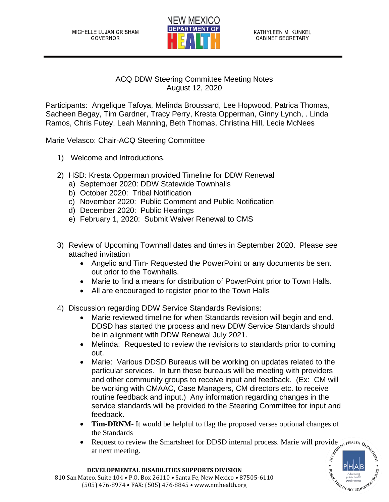

## ACQ DDW Steering Committee Meeting Notes August 12, 2020

Participants: Angelique Tafoya, Melinda Broussard, Lee Hopwood, Patrica Thomas, Sacheen Begay, Tim Gardner, Tracy Perry, Kresta Opperman, Ginny Lynch, . Linda Ramos, Chris Futey, Leah Manning, Beth Thomas, Christina Hill, Lecie McNees

Marie Velasco: Chair-ACQ Steering Committee

- 1) Welcome and Introductions.
- 2) HSD: Kresta Opperman provided Timeline for DDW Renewal
	- a) September 2020: DDW Statewide Townhalls
	- b) October 2020: Tribal Notification
	- c) November 2020: Public Comment and Public Notification
	- d) December 2020: Public Hearings
	- e) February 1, 2020: Submit Waiver Renewal to CMS
- 3) Review of Upcoming Townhall dates and times in September 2020. Please see attached invitation
	- Angelic and Tim- Requested the PowerPoint or any documents be sent out prior to the Townhalls.
	- Marie to find a means for distribution of PowerPoint prior to Town Halls.
	- All are encouraged to register prior to the Town Halls
- 4) Discussion regarding DDW Service Standards Revisions:
	- Marie reviewed timeline for when Standards revision will begin and end. DDSD has started the process and new DDW Service Standards should be in alignment with DDW Renewal July 2021.
	- Melinda: Requested to review the revisions to standards prior to coming out.
	- Marie: Various DDSD Bureaus will be working on updates related to the particular services. In turn these bureaus will be meeting with providers and other community groups to receive input and feedback. (Ex: CM will be working with CMAAC, Case Managers, CM directors etc. to receive routine feedback and input.) Any information regarding changes in the service standards will be provided to the Steering Committee for input and feedback.
	- **Tim-DRNM** It would be helpful to flag the proposed verses optional changes of the Standards
	- Request to review the Smartsheet for DDSD internal process. Marie will provide at next meeting.